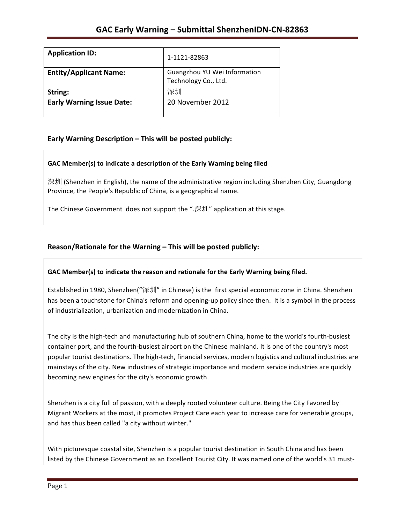| <b>Application ID:</b>           | 1-1121-82863                                         |
|----------------------------------|------------------------------------------------------|
| <b>Entity/Applicant Name:</b>    | Guangzhou YU Wei Information<br>Technology Co., Ltd. |
| String:                          | 深圳                                                   |
| <b>Early Warning Issue Date:</b> | 20 November 2012                                     |

### **Early Warning Description – This will be posted publicly:**

### GAC Member(s) to indicate a description of the Early Warning being filed

深圳 (Shenzhen in English), the name of the administrative region including Shenzhen City, Guangdong Province, the People's Republic of China, is a geographical name.

The Chinese Government does not support the ". $\mathbb{R}\mathbb{H}$ " application at this stage.

### Reason/Rationale for the Warning - This will be posted publicly:

### GAC Member(s) to indicate the reason and rationale for the Early Warning being filed.

Established in 1980, Shenzhen("深圳" in Chinese) is the first special economic zone in China. Shenzhen has been a touchstone for China's reform and opening-up policy since then. It is a symbol in the process of industrialization, urbanization and modernization in China.

The city is the high-tech and manufacturing hub of southern China, home to the world's fourth-busiest container port, and the fourth-busiest airport on the Chinese mainland. It is one of the country's most popular tourist destinations. The high-tech, financial services, modern logistics and cultural industries are mainstays of the city. New industries of strategic importance and modern service industries are quickly becoming new engines for the city's economic growth.

Shenzhen is a city full of passion, with a deeply rooted volunteer culture. Being the City Favored by Migrant Workers at the most, it promotes Project Care each year to increase care for venerable groups, and has thus been called "a city without winter."

With picturesque coastal site, Shenzhen is a popular tourist destination in South China and has been listed by the Chinese Government as an Excellent Tourist City. It was named one of the world's 31 must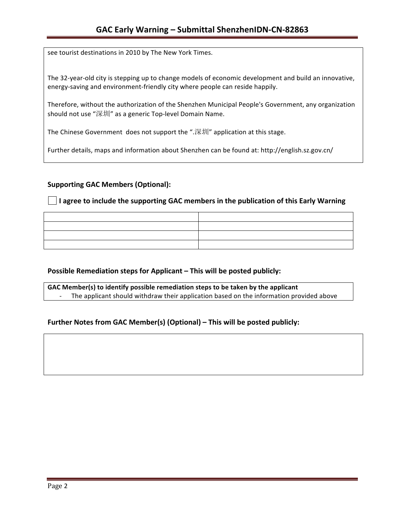see tourist destinations in 2010 by The New York Times.

The 32-year-old city is stepping up to change models of economic development and build an innovative, energy-saving and environment-friendly city where people can reside happily.

Therefore, without the authorization of the Shenzhen Municipal People's Government, any organization should not use "深圳" as a generic Top-level Domain Name.

The Chinese Government does not support the ".深圳" application at this stage.

Further details, maps and information about Shenzhen can be found at: http://english.sz.gov.cn/

### **Supporting GAC Members (Optional):**

**I** agree to include the supporting GAC members in the publication of this Early Warning

### **Possible Remediation steps for Applicant – This will be posted publicly:**

GAC Member(s) to identify possible remediation steps to be taken by the applicant The applicant should withdraw their application based on the information provided above

### **Further Notes from GAC Member(s) (Optional) – This will be posted publicly:**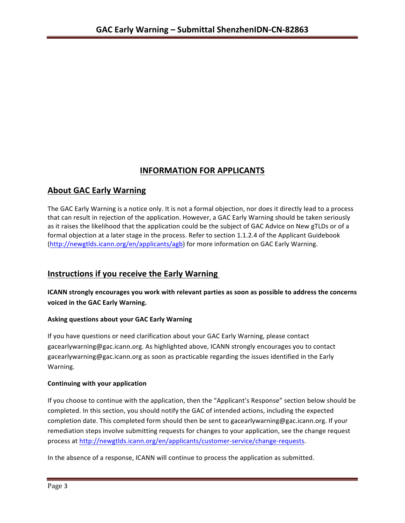# **INFORMATION FOR APPLICANTS**

## **About GAC Early Warning**

The GAC Early Warning is a notice only. It is not a formal objection, nor does it directly lead to a process that can result in rejection of the application. However, a GAC Early Warning should be taken seriously as it raises the likelihood that the application could be the subject of GAC Advice on New gTLDs or of a formal objection at a later stage in the process. Refer to section 1.1.2.4 of the Applicant Guidebook (http://newgtlds.icann.org/en/applicants/agb) for more information on GAC Early Warning.

## **Instructions if you receive the Early Warning**

**ICANN** strongly encourages you work with relevant parties as soon as possible to address the concerns **voiced in the GAC Early Warning.** 

### **Asking questions about your GAC Early Warning**

If you have questions or need clarification about your GAC Early Warning, please contact gacearlywarning@gac.icann.org. As highlighted above, ICANN strongly encourages you to contact gacearlywarning@gac.icann.org as soon as practicable regarding the issues identified in the Early Warning. 

### **Continuing with your application**

If you choose to continue with the application, then the "Applicant's Response" section below should be completed. In this section, you should notify the GAC of intended actions, including the expected completion date. This completed form should then be sent to gacearlywarning@gac.icann.org. If your remediation steps involve submitting requests for changes to your application, see the change request process at http://newgtlds.icann.org/en/applicants/customer-service/change-requests.

In the absence of a response, ICANN will continue to process the application as submitted.